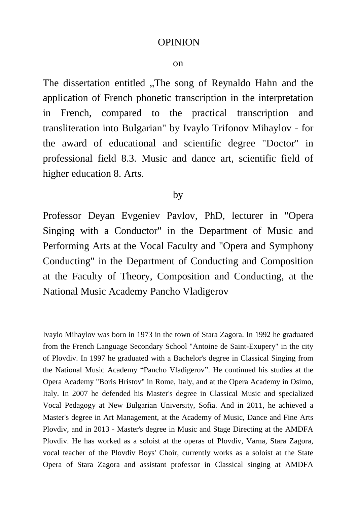## OPINION

## on

The dissertation entitled "The song of Reynaldo Hahn and the application of French phonetic transcription in the interpretation in French, compared to the practical transcription and transliteration into Bulgarian" by Ivaylo Trifonov Mihaylov - for the award of educational and scientific degree "Doctor" in professional field 8.3. Music and dance art, scientific field of higher education 8. Arts.

## by

Professor Deyan Evgeniev Pavlov, PhD, lecturer in "Opera Singing with a Conductor" in the Department of Music and Performing Arts at the Vocal Faculty and "Opera and Symphony Conducting" in the Department of Conducting and Composition at the Faculty of Theory, Composition and Conducting, at the National Music Academy Pancho Vladigerov

Ivaylo Mihaylov was born in 1973 in the town of Stara Zagora. In 1992 he graduated from the French Language Secondary School "Antoine de Saint-Exupery" in the city of Plovdiv. In 1997 he graduated with a Bachelor's degree in Classical Singing from the National Music Academy "Pancho Vladigerov". He continued his studies at the Opera Academy "Boris Hristov" in Rome, Italy, and at the Opera Academy in Osimo, Italy. In 2007 he defended his Master's degree in Classical Music and specialized Vocal Pedagogy at New Bulgarian University, Sofia. And in 2011, he achieved a Master's degree in Art Management, at the Academy of Music, Dance and Fine Arts Plovdiv, and in 2013 - Master's degree in Music and Stage Directing at the AMDFA Plovdiv. He has worked as a soloist at the operas of Plovdiv, Varna, Stara Zagora, vocal teacher of the Plovdiv Boys' Choir, currently works as a soloist at the State Opera of Stara Zagora and assistant professor in Classical singing at AMDFA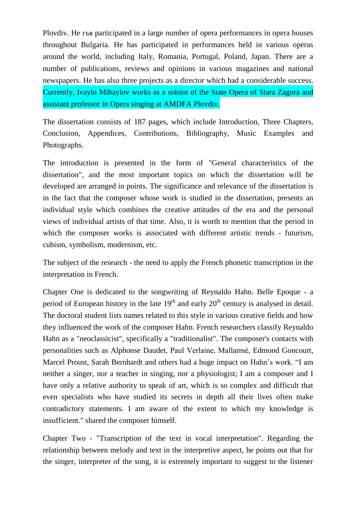Plovdiv. He гья participated in a large number of opera performances in opera houses throughout Bulgaria. He has participated in performances held in various operas around the world, including Italy, Romania, Portugal, Poland, Japan. There are a number of publications, reviews and opinions in various magazines and national newspapers. He has also three projects as a director which had a considerable success. Currently, Ivaylo Mihaylov works as a soloist of the State Opera of Stara Zagora and assistant professor in Opera singing at AMDFA Plovdiv.

The dissertation consists of 187 pages, which include Introduction, Three Chapters, Conclusion, Appendices, Contributions, Bibliography, Music Examples and Photographs.

The introduction is presented in the form of "General characteristics of the dissertation", and the most important topics on which the dissertation will be developed are arranged in points. The significance and relevance of the dissertation is in the fact that the composer whose work is studied in the dissertation, presents an individual style which combines the creative attitudes of the era and the personal views of individual artists of that time. Also, it is worth to mention that the period in which the composer works is associated with different artistic trends - futurism, cubism, symbolism, modernism, etc.

The subject of the research - the need to apply the French phonetic transcription in the interpretation in French.

Chapter One is dedicated to the songwriting of Reynaldo Hahn. Belle Epoque - a period of European history in the late  $19<sup>th</sup>$  and early  $20<sup>th</sup>$  century is analysed in detail. The doctoral student lists names related to this style in various creative fields and how they influenced the work of the composer Hahn. French researchers classify Reynaldo Hahn as a "neoclassicist", specifically a "traditionalist". The composer's contacts with personalities such as Alphonse Daudet, Paul Verlaine, Mallarmé, Edmond Goncourt, Marcel Proust, Sarah Bernhardt and others had a huge impact on Hahn's work. "I am neither a singer, nor a teacher in singing, nor a physiologist; I am a composer and I have only a relative authority to speak of art, which is so complex and difficult that even specialists who have studied its secrets in depth all their lives often make contradictory statements. I am aware of the extent to which my knowledge is insufficient." shared the composer himself.

Chapter Two - "Transcription of the text in vocal interpretation". Regarding the relationship between melody and text in the interpretive aspect, he points out that for the singer, interpreter of the song, it is extremely important to suggest to the listener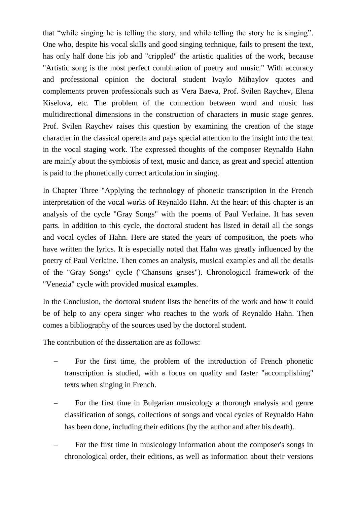that "while singing he is telling the story, and while telling the story he is singing". One who, despite his vocal skills and good singing technique, fails to present the text, has only half done his job and "crippled" the artistic qualities of the work, because "Artistic song is the most perfect combination of poetry and music." With accuracy and professional opinion the doctoral student Ivaylo Mihaylov quotes and complements proven professionals such as Vera Baeva, Prof. Svilen Raychev, Elena Kiselova, etc. The problem of the connection between word and music has multidirectional dimensions in the construction of characters in music stage genres. Prof. Svilen Raychev raises this question by examining the creation of the stage character in the classical operetta and pays special attention to the insight into the text in the vocal staging work. The expressed thoughts of the composer Reynaldo Hahn are mainly about the symbiosis of text, music and dance, as great and special attention is paid to the phonetically correct articulation in singing.

In Chapter Three "Applying the technology of phonetic transcription in the French interpretation of the vocal works of Reynaldo Hahn. At the heart of this chapter is an analysis of the cycle "Gray Songs" with the poems of Paul Verlaine. It has seven parts. In addition to this cycle, the doctoral student has listed in detail all the songs and vocal cycles of Hahn. Here are stated the years of composition, the poets who have written the lyrics. It is especially noted that Hahn was greatly influenced by the poetry of Paul Verlaine. Then comes an analysis, musical examples and all the details of the "Gray Songs" cycle ("Chansons grises"). Chronological framework of the "Venezia" cycle with provided musical examples.

In the Conclusion, the doctoral student lists the benefits of the work and how it could be of help to any opera singer who reaches to the work of Reynaldo Hahn. Then comes a bibliography of the sources used by the doctoral student.

The contribution of the dissertation are as follows:

- For the first time, the problem of the introduction of French phonetic transcription is studied, with a focus on quality and faster "accomplishing" texts when singing in French.
- For the first time in Bulgarian musicology a thorough analysis and genre classification of songs, collections of songs and vocal cycles of Reynaldo Hahn has been done, including their editions (by the author and after his death).
- For the first time in musicology information about the composer's songs in chronological order, their editions, as well as information about their versions